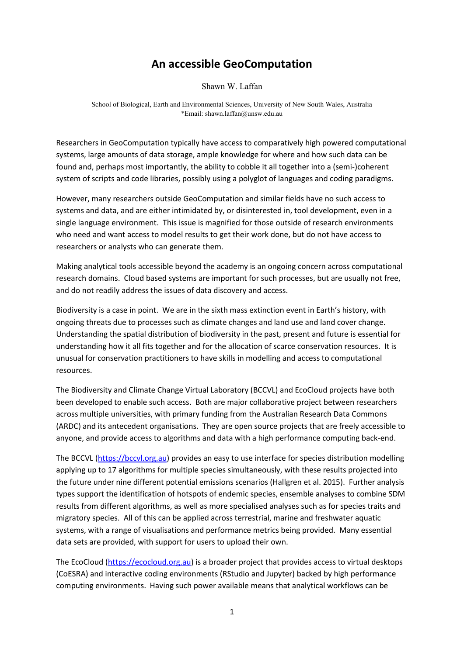## An accessible GeoComputation

Shawn W. Laffan

School of Biological, Earth and Environmental Sciences, University of New South Wales, Australia \*Email: shawn.laffan@unsw.edu.au

Researchers in GeoComputation typically have access to comparatively high powered computational systems, large amounts of data storage, ample knowledge for where and how such data can be found and, perhaps most importantly, the ability to cobble it all together into a (semi-)coherent system of scripts and code libraries, possibly using a polyglot of languages and coding paradigms.

However, many researchers outside GeoComputation and similar fields have no such access to systems and data, and are either intimidated by, or disinterested in, tool development, even in a single language environment. This issue is magnified for those outside of research environments who need and want access to model results to get their work done, but do not have access to researchers or analysts who can generate them.

Making analytical tools accessible beyond the academy is an ongoing concern across computational research domains. Cloud based systems are important for such processes, but are usually not free, and do not readily address the issues of data discovery and access.

Biodiversity is a case in point. We are in the sixth mass extinction event in Earth's history, with ongoing threats due to processes such as climate changes and land use and land cover change. Understanding the spatial distribution of biodiversity in the past, present and future is essential for understanding how it all fits together and for the allocation of scarce conservation resources. It is unusual for conservation practitioners to have skills in modelling and access to computational resources.

The Biodiversity and Climate Change Virtual Laboratory (BCCVL) and EcoCloud projects have both been developed to enable such access. Both are major collaborative project between researchers across multiple universities, with primary funding from the Australian Research Data Commons (ARDC) and its antecedent organisations. They are open source projects that are freely accessible to anyone, and provide access to algorithms and data with a high performance computing back-end.

The BCCVL (https://bccvl.org.au) provides an easy to use interface for species distribution modelling applying up to 17 algorithms for multiple species simultaneously, with these results projected into the future under nine different potential emissions scenarios (Hallgren et al. 2015). Further analysis types support the identification of hotspots of endemic species, ensemble analyses to combine SDM results from different algorithms, as well as more specialised analyses such as for species traits and migratory species. All of this can be applied across terrestrial, marine and freshwater aquatic systems, with a range of visualisations and performance metrics being provided. Many essential data sets are provided, with support for users to upload their own.

The EcoCloud (https://ecocloud.org.au) is a broader project that provides access to virtual desktops (CoESRA) and interactive coding environments (RStudio and Jupyter) backed by high performance computing environments. Having such power available means that analytical workflows can be